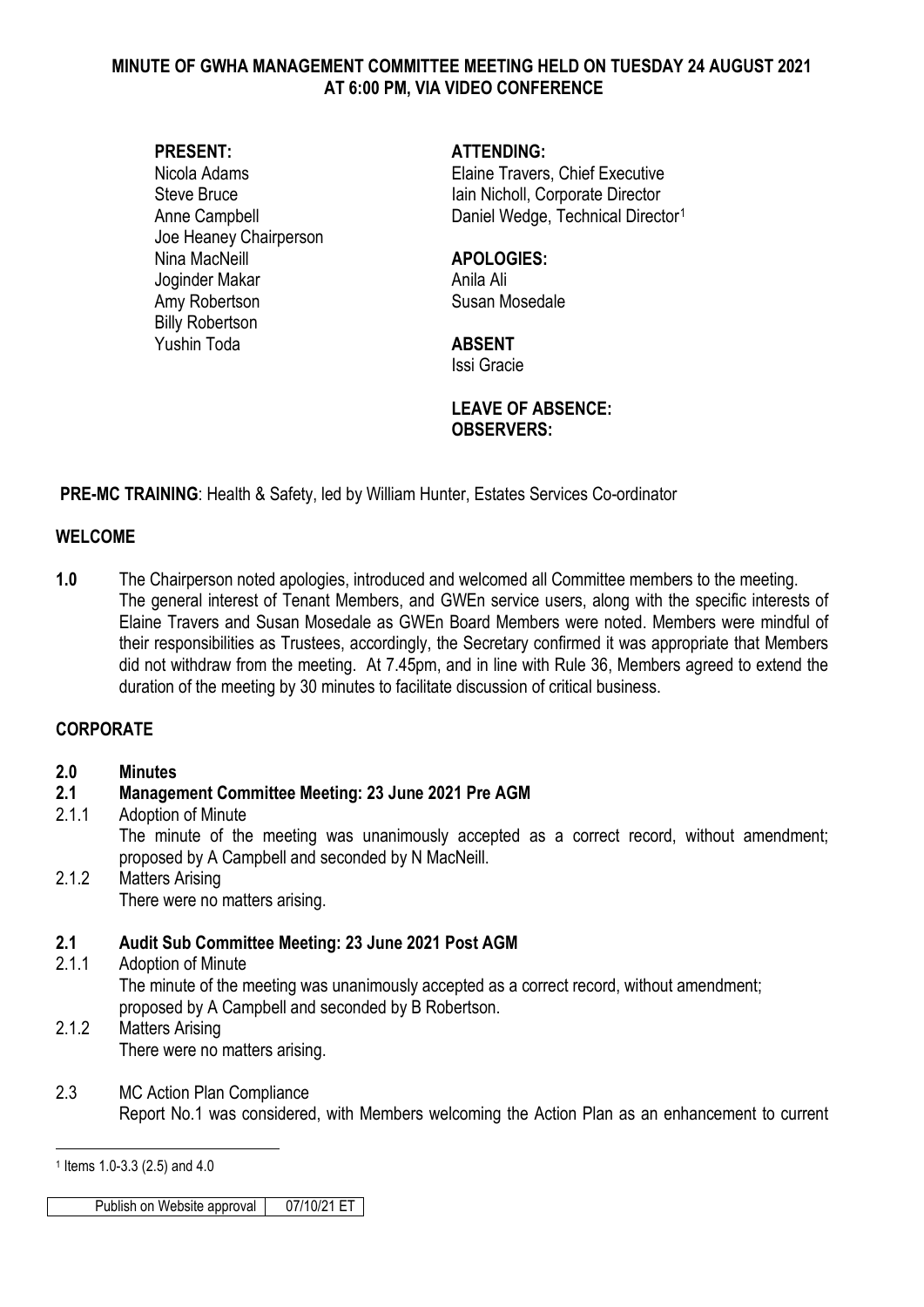#### **MINUTE OF GWHA MANAGEMENT COMMITTEE MEETING HELD ON TUESDAY 24 AUGUST 2021 AT 6:00 PM, VIA VIDEO CONFERENCE**

Joe Heaney Chairperson Nina MacNeill **APOLOGIES:** Joginder Makar Anila Ali Amy Robertson Susan Mosedale Billy Robertson Yushin Toda **ABSENT**

#### **PRESENT: ATTENDING:**

Nicola Adams Elaine Travers, Chief Executive Steve Bruce **Iain Nicholl**, Corporate Director Anne Campbell **Daniel Wedge, Technical Director**<sup>[1](#page-0-0)</sup>

Issi Gracie

#### **LEAVE OF ABSENCE: OBSERVERS:**

**PRE-MC TRAINING**: Health & Safety, led by William Hunter, Estates Services Co-ordinator

#### **WELCOME**

**1.0** The Chairperson noted apologies, introduced and welcomed all Committee members to the meeting. The general interest of Tenant Members, and GWEn service users, along with the specific interests of Elaine Travers and Susan Mosedale as GWEn Board Members were noted. Members were mindful of their responsibilities as Trustees, accordingly, the Secretary confirmed it was appropriate that Members did not withdraw from the meeting. At 7.45pm, and in line with Rule 36, Members agreed to extend the duration of the meeting by 30 minutes to facilitate discussion of critical business.

#### **CORPORATE**

#### **2.0 Minutes**

#### **2.1 Management Committee Meeting: 23 June 2021 Pre AGM**

#### 2.1.1 Adoption of Minute

The minute of the meeting was unanimously accepted as a correct record, without amendment; proposed by A Campbell and seconded by N MacNeill.

2.1.2 Matters Arising There were no matters arising.

## **2.1 Audit Sub Committee Meeting: 23 June 2021 Post AGM**

- Adoption of Minute The minute of the meeting was unanimously accepted as a correct record, without amendment; proposed by A Campbell and seconded by B Robertson.
- 2.1.2 Matters Arising There were no matters arising.

## 2.3 MC Action Plan Compliance

Report No.1 was considered, with Members welcoming the Action Plan as an enhancement to current

Publish on Website approval 07/10/21 ET

<span id="page-0-0"></span> $\overline{a}$ <sup>1</sup> Items 1.0-3.3 (2.5) and 4.0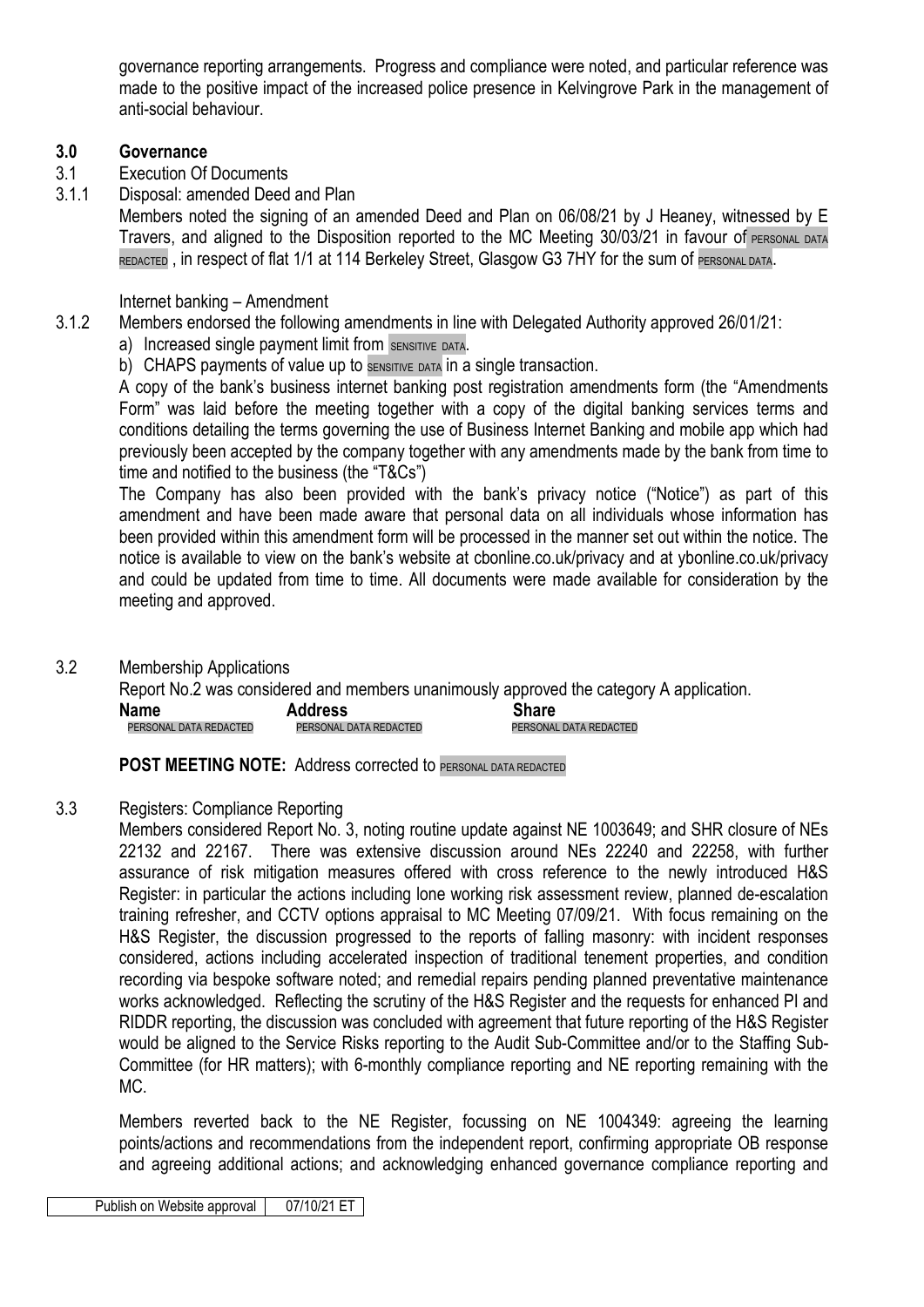governance reporting arrangements. Progress and compliance were noted, and particular reference was made to the positive impact of the increased police presence in Kelvingrove Park in the management of anti-social behaviour.

#### **3.0 Governance**

- 3.1 Execution Of Documents
- 3.1.1 Disposal: amended Deed and Plan

Members noted the signing of an amended Deed and Plan on 06/08/21 by J Heaney, witnessed by E Travers, and aligned to the Disposition reported to the MC Meeting 30/03/21 in favour of PERSONAL DATA REDACTED, in respect of flat 1/1 at 114 Berkeley Street, Glasgow G3 7HY for the sum of PERSONAL DATA.

#### Internet banking – Amendment

- 3.1.2 Members endorsed the following amendments in line with Delegated Authority approved 26/01/21:
	- a) Increased single payment limit from SENSITIVE DATA.
	- b) CHAPS payments of value up to SENSITIVE DATA in a single transaction.

A copy of the bank's business internet banking post registration amendments form (the "Amendments Form" was laid before the meeting together with a copy of the digital banking services terms and conditions detailing the terms governing the use of Business Internet Banking and mobile app which had previously been accepted by the company together with any amendments made by the bank from time to time and notified to the business (the "T&Cs")

The Company has also been provided with the bank's privacy notice ("Notice") as part of this amendment and have been made aware that personal data on all individuals whose information has been provided within this amendment form will be processed in the manner set out within the notice. The notice is available to view on the bank's website at cbonline.co.uk/privacy and at ybonline.co.uk/privacy and could be updated from time to time. All documents were made available for consideration by the meeting and approved.

3.2 Membership Applications

Report No.2 was considered and members unanimously approved the category A application. **Name Address Share Share** Address Share Share PERSONAL DATA REDACTED PERSONAL DATA REDACTED

**POST MEETING NOTE: Address corrected to PERSONAL DATA REDACTED** 

#### 3.3 Registers: Compliance Reporting

Members considered Report No. 3, noting routine update against NE 1003649; and SHR closure of NEs 22132 and 22167. There was extensive discussion around NEs 22240 and 22258, with further assurance of risk mitigation measures offered with cross reference to the newly introduced H&S Register: in particular the actions including lone working risk assessment review, planned de-escalation training refresher, and CCTV options appraisal to MC Meeting 07/09/21. With focus remaining on the H&S Register, the discussion progressed to the reports of falling masonry: with incident responses considered, actions including accelerated inspection of traditional tenement properties, and condition recording via bespoke software noted; and remedial repairs pending planned preventative maintenance works acknowledged. Reflecting the scrutiny of the H&S Register and the requests for enhanced PI and RIDDR reporting, the discussion was concluded with agreement that future reporting of the H&S Register would be aligned to the Service Risks reporting to the Audit Sub-Committee and/or to the Staffing Sub-Committee (for HR matters); with 6-monthly compliance reporting and NE reporting remaining with the MC.

Members reverted back to the NE Register, focussing on NE 1004349: agreeing the learning points/actions and recommendations from the independent report, confirming appropriate OB response and agreeing additional actions; and acknowledging enhanced governance compliance reporting and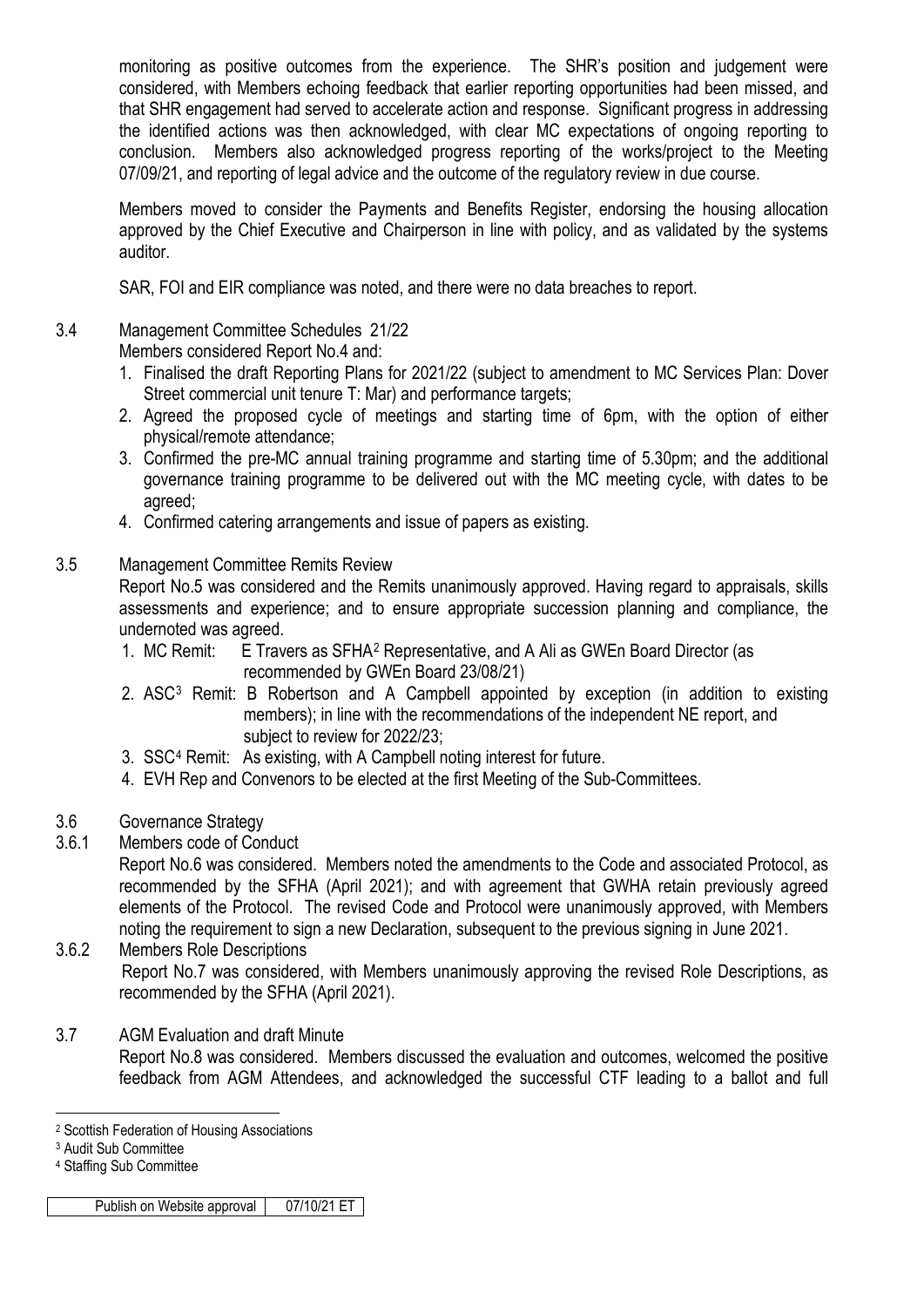monitoring as positive outcomes from the experience. The SHR's position and judgement were considered, with Members echoing feedback that earlier reporting opportunities had been missed, and that SHR engagement had served to accelerate action and response. Significant progress in addressing the identified actions was then acknowledged, with clear MC expectations of ongoing reporting to conclusion. Members also acknowledged progress reporting of the works/project to the Meeting 07/09/21, and reporting of legal advice and the outcome of the regulatory review in due course.

Members moved to consider the Payments and Benefits Register, endorsing the housing allocation approved by the Chief Executive and Chairperson in line with policy, and as validated by the systems auditor.

SAR, FOI and EIR compliance was noted, and there were no data breaches to report.

### 3.4 Management Committee Schedules 21/22

Members considered Report No.4 and:

- 1. Finalised the draft Reporting Plans for 2021/22 (subject to amendment to MC Services Plan: Dover Street commercial unit tenure T: Mar) and performance targets;
- 2. Agreed the proposed cycle of meetings and starting time of 6pm, with the option of either physical/remote attendance;
- 3. Confirmed the pre-MC annual training programme and starting time of 5.30pm; and the additional governance training programme to be delivered out with the MC meeting cycle, with dates to be agreed;
- 4. Confirmed catering arrangements and issue of papers as existing.

#### 3.5 Management Committee Remits Review

Report No.5 was considered and the Remits unanimously approved. Having regard to appraisals, skills assessments and experience; and to ensure appropriate succession planning and compliance, the undernoted was agreed.

- 1. MC Remit: E Travers as SFHA[2](#page-2-0) Representative, and A Ali as GWEn Board Director (as recommended by GWEn Board 23/08/21)
- 2. ASC[3](#page-2-1) Remit: B Robertson and A Campbell appointed by exception (in addition to existing members); in line with the recommendations of the independent NE report, and subject to review for 2022/23;
- 3. SSC[4](#page-2-2) Remit: As existing, with A Campbell noting interest for future.
- 4. EVH Rep and Convenors to be elected at the first Meeting of the Sub-Committees.
- 3.6 Governance Strategy
- 3.6.1 Members code of Conduct

Report No.6 was considered. Members noted the amendments to the Code and associated Protocol, as recommended by the SFHA (April 2021); and with agreement that GWHA retain previously agreed elements of the Protocol. The revised Code and Protocol were unanimously approved, with Members noting the requirement to sign a new Declaration, subsequent to the previous signing in June 2021.

3.6.2 Members Role Descriptions Report No.7 was considered, with Members unanimously approving the revised Role Descriptions, as recommended by the SFHA (April 2021).

### 3.7 AGM Evaluation and draft Minute

Report No.8 was considered. Members discussed the evaluation and outcomes, welcomed the positive feedback from AGM Attendees, and acknowledged the successful CTF leading to a ballot and full

Publish on Website approval 07/10/21 ET

<span id="page-2-0"></span><sup>-</sup><sup>2</sup> Scottish Federation of Housing Associations

<span id="page-2-1"></span><sup>3</sup> Audit Sub Committee

<span id="page-2-2"></span><sup>4</sup> Staffing Sub Committee